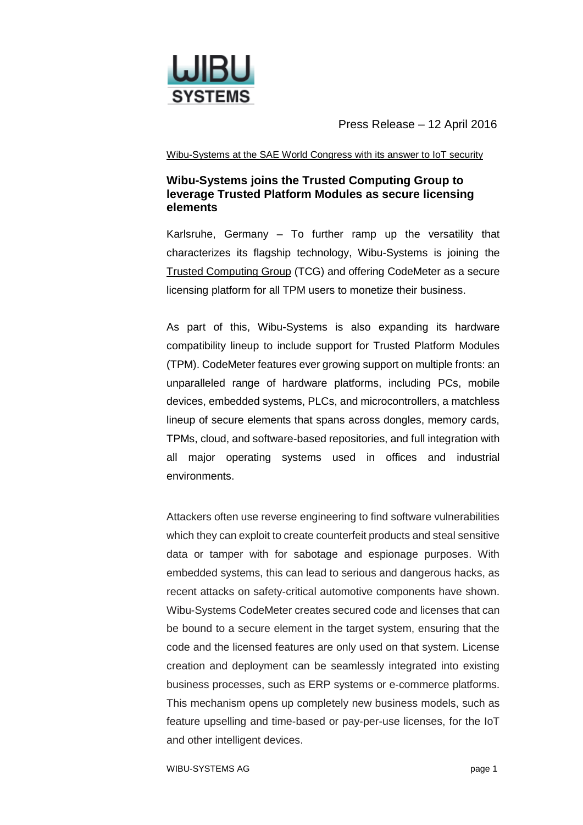

Press Release – 12 April 2016

## Wibu-Systems at the SAE World Congress with its answer to IoT security

## **Wibu-Systems joins the Trusted Computing Group to leverage Trusted Platform Modules as secure licensing elements**

Karlsruhe, Germany – To further ramp up the versatility that characterizes its flagship technology, Wibu-Systems is joining the [Trusted Computing Group](https://www.trustedcomputinggroup.org/) (TCG) and offering CodeMeter as a secure licensing platform for all TPM users to monetize their business.

As part of this, Wibu-Systems is also expanding its hardware compatibility lineup to include support for Trusted Platform Modules (TPM). CodeMeter features ever growing support on multiple fronts: an unparalleled range of hardware platforms, including PCs, mobile devices, embedded systems, PLCs, and microcontrollers, a matchless lineup of secure elements that spans across dongles, memory cards, TPMs, cloud, and software-based repositories, and full integration with all major operating systems used in offices and industrial environments.

Attackers often use reverse engineering to find software vulnerabilities which they can exploit to create counterfeit products and steal sensitive data or tamper with for sabotage and espionage purposes. With embedded systems, this can lead to serious and dangerous hacks, as recent attacks on safety-critical automotive components have shown. Wibu-Systems CodeMeter creates secured code and licenses that can be bound to a secure element in the target system, ensuring that the code and the licensed features are only used on that system. License creation and deployment can be seamlessly integrated into existing business processes, such as ERP systems or e-commerce platforms. This mechanism opens up completely new business models, such as feature upselling and time-based or pay-per-use licenses, for the IoT and other intelligent devices.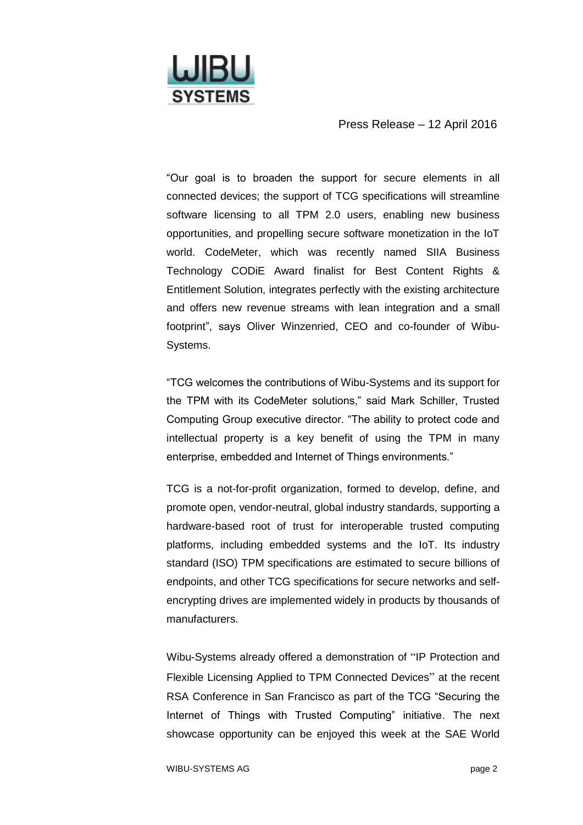

Press Release – 12 April 2016

"Our goal is to broaden the support for secure elements in all connected devices; the support of TCG specifications will streamline software licensing to all TPM 2.0 users, enabling new business opportunities, and propelling secure software monetization in the IoT world. CodeMeter, which was recently named SIIA Business Technology CODiE Award finalist for Best Content Rights & Entitlement Solution, integrates perfectly with the existing architecture and offers new revenue streams with lean integration and a small footprint", says Oliver Winzenried, CEO and co-founder of Wibu-Systems.

"TCG welcomes the contributions of Wibu-Systems and its support for the TPM with its CodeMeter solutions," said Mark Schiller, Trusted Computing Group executive director. "The ability to protect code and intellectual property is a key benefit of using the TPM in many enterprise, embedded and Internet of Things environments."

TCG is a not-for-profit organization, formed to develop, define, and promote open, vendor-neutral, global industry standards, supporting a hardware-based root of trust for interoperable trusted computing platforms, including embedded systems and the IoT. Its industry standard (ISO) TPM specifications are estimated to secure billions of endpoints, and other TCG specifications for secure networks and selfencrypting drives are implemented widely in products by thousands of manufacturers.

Wibu-Systems already offered a demonstration of "IP Protection and Flexible Licensing Applied to TPM Connected Devices" at the recent RSA Conference in San Francisco as part of the TCG "Securing the Internet of Things with Trusted Computing" initiative. The next showcase opportunity can be enjoyed this week at the SAE World